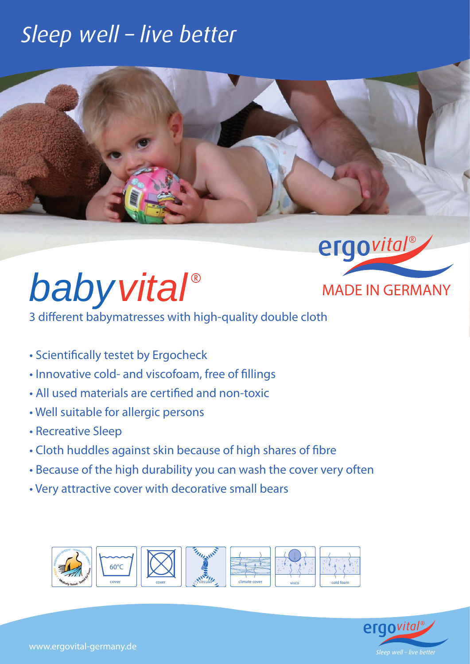### Sleep well - live better





3 different babymatresses with high-quality double cloth

- Scientifically testet by Ergocheck
- Innovative cold- and viscofoam, free of fillings
- All used materials are certified and non-toxic
- Well suitable for allergic persons
- Recreative Sleep
- Cloth huddles against skin because of high shares of fibre
- Because of the high durability you can wash the cover very often
- Very attractive cover with decorative small bears





ergovital®